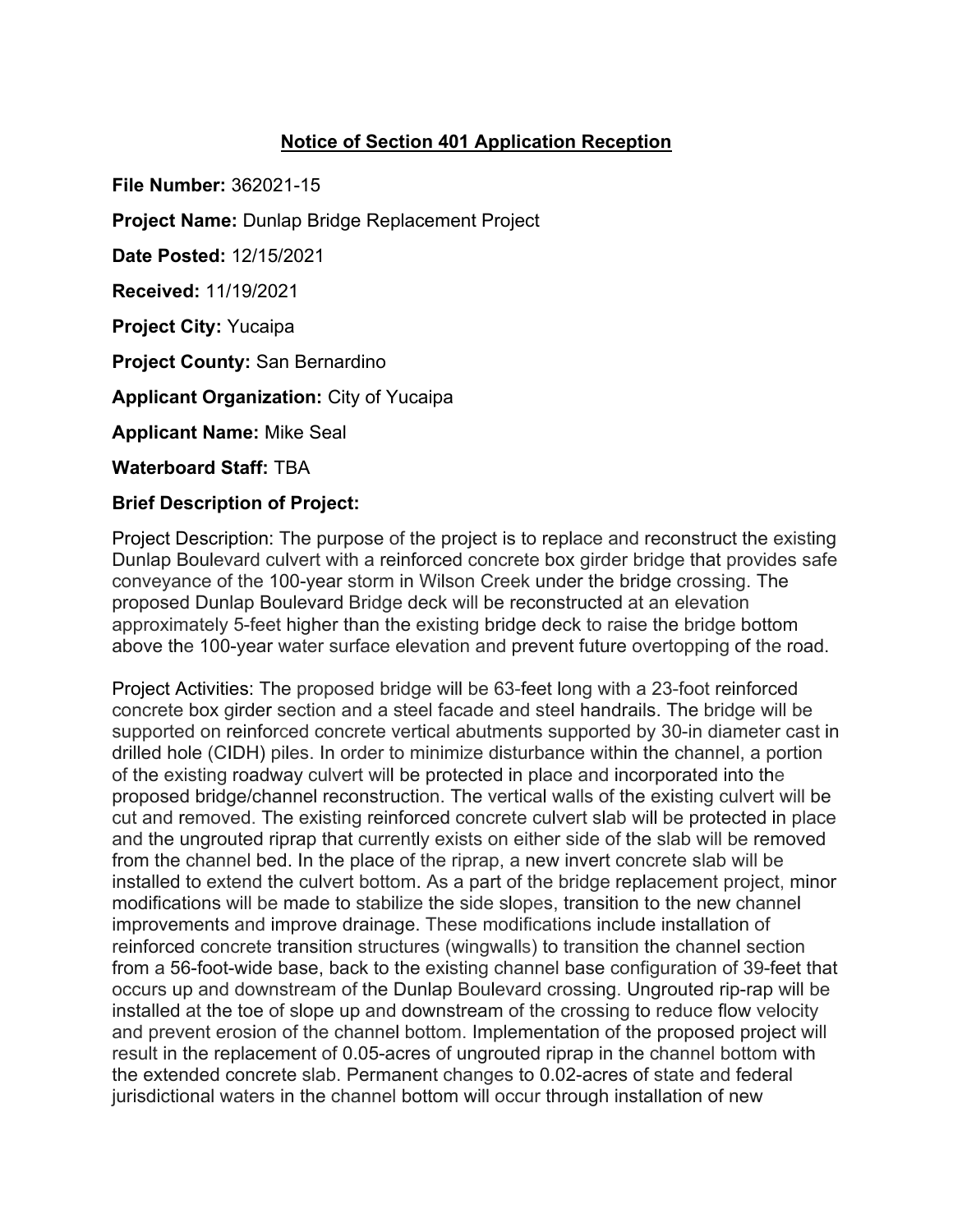## **Notice of Section 401 Application Reception**

**File Number:** 362021-15

**Project Name:** Dunlap Bridge Replacement Project

**Date Posted:** 12/15/2021

**Received:** 11/19/2021

**Project City:** Yucaipa

**Project County:** San Bernardino

**Applicant Organization:** City of Yucaipa

**Applicant Name:** Mike Seal

**Waterboard Staff:** TBA

## **Brief Description of Project:**

Project Description: The purpose of the project is to replace and reconstruct the existing Dunlap Boulevard culvert with a reinforced concrete box girder bridge that provides safe conveyance of the 100-year storm in Wilson Creek under the bridge crossing. The proposed Dunlap Boulevard Bridge deck will be reconstructed at an elevation approximately 5-feet higher than the existing bridge deck to raise the bridge bottom above the 100-year water surface elevation and prevent future overtopping of the road.

Project Activities: The proposed bridge will be 63-feet long with a 23-foot reinforced concrete box girder section and a steel facade and steel handrails. The bridge will be supported on reinforced concrete vertical abutments supported by 30-in diameter cast in drilled hole (CIDH) piles. In order to minimize disturbance within the channel, a portion of the existing roadway culvert will be protected in place and incorporated into the proposed bridge/channel reconstruction. The vertical walls of the existing culvert will be cut and removed. The existing reinforced concrete culvert slab will be protected in place and the ungrouted riprap that currently exists on either side of the slab will be removed from the channel bed. In the place of the riprap, a new invert concrete slab will be installed to extend the culvert bottom. As a part of the bridge replacement project, minor modifications will be made to stabilize the side slopes, transition to the new channel improvements and improve drainage. These modifications include installation of reinforced concrete transition structures (wingwalls) to transition the channel section from a 56-foot-wide base, back to the existing channel base configuration of 39-feet that occurs up and downstream of the Dunlap Boulevard crossing. Ungrouted rip-rap will be installed at the toe of slope up and downstream of the crossing to reduce flow velocity and prevent erosion of the channel bottom. Implementation of the proposed project will result in the replacement of 0.05-acres of ungrouted riprap in the channel bottom with the extended concrete slab. Permanent changes to 0.02-acres of state and federal jurisdictional waters in the channel bottom will occur through installation of new